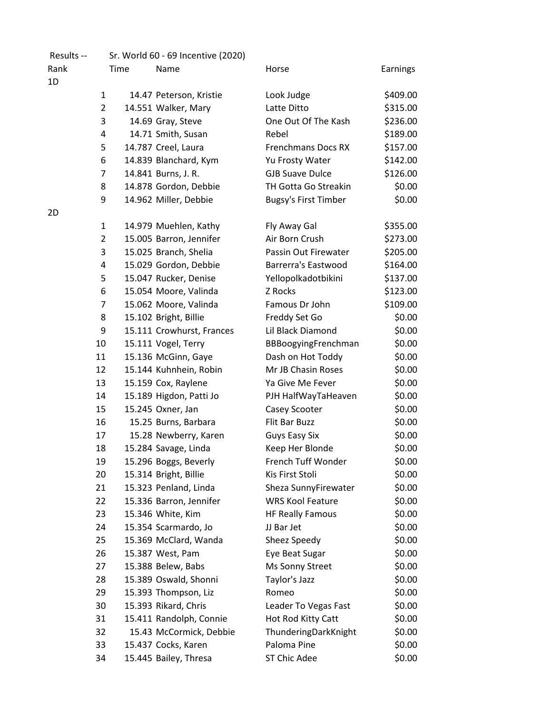| Results -- |                | Sr. World 60 - 69 Incentive (2020) |                             |          |
|------------|----------------|------------------------------------|-----------------------------|----------|
| Rank       | Time           | Name                               | Horse                       | Earnings |
| 1D         |                |                                    |                             |          |
|            | $\mathbf{1}$   | 14.47 Peterson, Kristie            | Look Judge                  | \$409.00 |
|            | $\overline{2}$ | 14.551 Walker, Mary                | Latte Ditto                 | \$315.00 |
|            | 3              | 14.69 Gray, Steve                  | One Out Of The Kash         | \$236.00 |
|            | 4              | 14.71 Smith, Susan                 | Rebel                       | \$189.00 |
|            | 5              | 14.787 Creel, Laura                | <b>Frenchmans Docs RX</b>   | \$157.00 |
|            | 6              | 14.839 Blanchard, Kym              | Yu Frosty Water             | \$142.00 |
|            | 7              | 14.841 Burns, J. R.                | <b>GJB Suave Dulce</b>      | \$126.00 |
|            | 8              | 14.878 Gordon, Debbie              | TH Gotta Go Streakin        | \$0.00   |
|            | 9              | 14.962 Miller, Debbie              | <b>Bugsy's First Timber</b> | \$0.00   |
| 2D         |                |                                    |                             |          |
|            | $\mathbf{1}$   | 14.979 Muehlen, Kathy              | Fly Away Gal                | \$355.00 |
|            | $\overline{2}$ | 15.005 Barron, Jennifer            | Air Born Crush              | \$273.00 |
|            | 3              | 15.025 Branch, Shelia              | Passin Out Firewater        | \$205.00 |
|            | 4              | 15.029 Gordon, Debbie              | <b>Barrerra's Eastwood</b>  | \$164.00 |
|            | 5              | 15.047 Rucker, Denise              | Yellopolkadotbikini         | \$137.00 |
|            | 6              | 15.054 Moore, Valinda              | Z Rocks                     | \$123.00 |
|            | 7              | 15.062 Moore, Valinda              | Famous Dr John              | \$109.00 |
|            | 8              | 15.102 Bright, Billie              | Freddy Set Go               | \$0.00   |
|            | 9              | 15.111 Crowhurst, Frances          | Lil Black Diamond           | \$0.00   |
|            | 10             | 15.111 Vogel, Terry                | BBBoogyingFrenchman         | \$0.00   |
|            | 11             | 15.136 McGinn, Gaye                | Dash on Hot Toddy           | \$0.00   |
|            | 12             | 15.144 Kuhnhein, Robin             | Mr JB Chasin Roses          | \$0.00   |
|            | 13             | 15.159 Cox, Raylene                | Ya Give Me Fever            | \$0.00   |
|            | 14             | 15.189 Higdon, Patti Jo            | PJH HalfWayTaHeaven         | \$0.00   |
|            | 15             | 15.245 Oxner, Jan                  | Casey Scooter               | \$0.00   |
|            | 16             | 15.25 Burns, Barbara               | Flit Bar Buzz               | \$0.00   |
|            | 17             | 15.28 Newberry, Karen              | Guys Easy Six               | \$0.00   |
|            | 18             | 15.284 Savage, Linda               | Keep Her Blonde             | \$0.00   |
|            | 19             | 15.296 Boggs, Beverly              | French Tuff Wonder          | \$0.00   |
|            | 20             | 15.314 Bright, Billie              | Kis First Stoli             | \$0.00   |
|            | 21             | 15.323 Penland, Linda              | Sheza SunnyFirewater        | \$0.00   |
|            | 22             | 15.336 Barron, Jennifer            | <b>WRS Kool Feature</b>     | \$0.00   |
|            | 23             |                                    |                             | \$0.00   |
|            |                | 15.346 White, Kim                  | <b>HF Really Famous</b>     |          |
|            | 24             | 15.354 Scarmardo, Jo               | JJ Bar Jet                  | \$0.00   |
|            | 25             | 15.369 McClard, Wanda              | Sheez Speedy                | \$0.00   |
|            | 26             | 15.387 West, Pam                   | Eye Beat Sugar              | \$0.00   |
|            | 27             | 15.388 Belew, Babs                 | Ms Sonny Street             | \$0.00   |
|            | 28             | 15.389 Oswald, Shonni              | Taylor's Jazz               | \$0.00   |
|            | 29             | 15.393 Thompson, Liz               | Romeo                       | \$0.00   |
|            | 30             | 15.393 Rikard, Chris               | Leader To Vegas Fast        | \$0.00   |
|            | 31             | 15.411 Randolph, Connie            | Hot Rod Kitty Catt          | \$0.00   |
|            | 32             | 15.43 McCormick, Debbie            | ThunderingDarkKnight        | \$0.00   |
|            | 33             | 15.437 Cocks, Karen                | Paloma Pine                 | \$0.00   |
|            | 34             | 15.445 Bailey, Thresa              | ST Chic Adee                | \$0.00   |
|            |                |                                    |                             |          |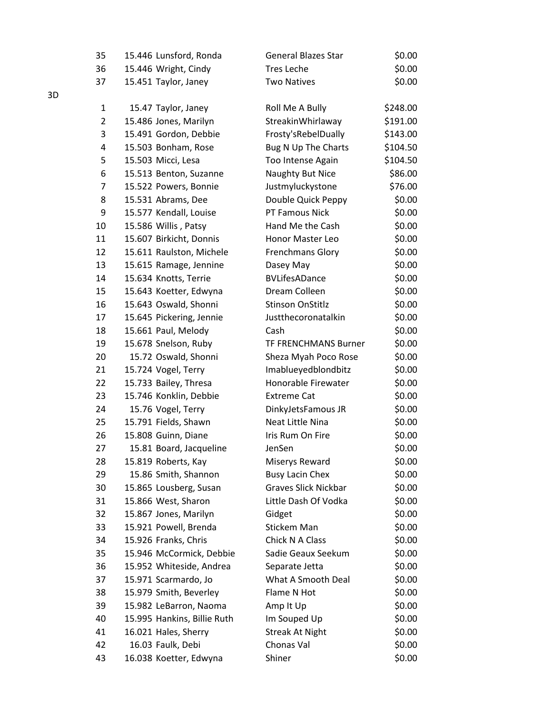| 35             | 15.446 Lunsford, Ronda      | <b>General Blazes Star</b>  | \$0.00   |
|----------------|-----------------------------|-----------------------------|----------|
| 36             | 15.446 Wright, Cindy        | <b>Tres Leche</b>           | \$0.00   |
| 37             | 15.451 Taylor, Janey        | <b>Two Natives</b>          | \$0.00   |
|                |                             |                             |          |
| $\mathbf{1}$   | 15.47 Taylor, Janey         | Roll Me A Bully             | \$248.00 |
| $\overline{2}$ | 15.486 Jones, Marilyn       | StreakinWhirlaway           | \$191.00 |
| 3              | 15.491 Gordon, Debbie       | Frosty'sRebelDually         | \$143.00 |
| 4              | 15.503 Bonham, Rose         | Bug N Up The Charts         | \$104.50 |
| 5              | 15.503 Micci, Lesa          | Too Intense Again           | \$104.50 |
| 6              | 15.513 Benton, Suzanne      | Naughty But Nice            | \$86.00  |
| 7              | 15.522 Powers, Bonnie       | Justmyluckystone            | \$76.00  |
| 8              | 15.531 Abrams, Dee          | Double Quick Peppy          | \$0.00   |
| 9              | 15.577 Kendall, Louise      | PT Famous Nick              | \$0.00   |
| 10             | 15.586 Willis, Patsy        | Hand Me the Cash            | \$0.00   |
| 11             | 15.607 Birkicht, Donnis     | Honor Master Leo            | \$0.00   |
| 12             | 15.611 Raulston, Michele    | <b>Frenchmans Glory</b>     | \$0.00   |
| 13             | 15.615 Ramage, Jennine      | Dasey May                   | \$0.00   |
| 14             | 15.634 Knotts, Terrie       | <b>BVLifesADance</b>        | \$0.00   |
| 15             | 15.643 Koetter, Edwyna      | Dream Colleen               | \$0.00   |
| 16             | 15.643 Oswald, Shonni       | <b>Stinson OnStitlz</b>     | \$0.00   |
| 17             | 15.645 Pickering, Jennie    | Justthecoronatalkin         | \$0.00   |
| 18             | 15.661 Paul, Melody         | Cash                        | \$0.00   |
| 19             | 15.678 Snelson, Ruby        | <b>TF FRENCHMANS Burner</b> | \$0.00   |
| 20             | 15.72 Oswald, Shonni        | Sheza Myah Poco Rose        | \$0.00   |
| 21             | 15.724 Vogel, Terry         | Imablueyedblondbitz         | \$0.00   |
| 22             | 15.733 Bailey, Thresa       | Honorable Firewater         | \$0.00   |
| 23             | 15.746 Konklin, Debbie      | <b>Extreme Cat</b>          | \$0.00   |
| 24             | 15.76 Vogel, Terry          | DinkyJetsFamous JR          | \$0.00   |
| 25             | 15.791 Fields, Shawn        | Neat Little Nina            | \$0.00   |
| 26             | 15.808 Guinn, Diane         | Iris Rum On Fire            | \$0.00   |
| 27             | 15.81 Board, Jacqueline     | JenSen                      | \$0.00   |
| 28             | 15.819 Roberts, Kay         | Miserys Reward              | \$0.00   |
| 29             | 15.86 Smith, Shannon        | <b>Busy Lacin Chex</b>      | \$0.00   |
| 30             | 15.865 Lousberg, Susan      | <b>Graves Slick Nickbar</b> | \$0.00   |
| 31             | 15.866 West, Sharon         | Little Dash Of Vodka        | \$0.00   |
| 32             | 15.867 Jones, Marilyn       | Gidget                      | \$0.00   |
| 33             | 15.921 Powell, Brenda       | <b>Stickem Man</b>          | \$0.00   |
| 34             | 15.926 Franks, Chris        | Chick N A Class             | \$0.00   |
| 35             | 15.946 McCormick, Debbie    | Sadie Geaux Seekum          | \$0.00   |
| 36             | 15.952 Whiteside, Andrea    | Separate Jetta              | \$0.00   |
| 37             | 15.971 Scarmardo, Jo        | What A Smooth Deal          | \$0.00   |
| 38             | 15.979 Smith, Beverley      | Flame N Hot                 | \$0.00   |
| 39             | 15.982 LeBarron, Naoma      | Amp It Up                   | \$0.00   |
| 40             | 15.995 Hankins, Billie Ruth | Im Souped Up                | \$0.00   |
| 41             | 16.021 Hales, Sherry        | <b>Streak At Night</b>      | \$0.00   |
| 42             | 16.03 Faulk, Debi           | Chonas Val                  | \$0.00   |
| 43             | 16.038 Koetter, Edwyna      | Shiner                      | \$0.00   |

3D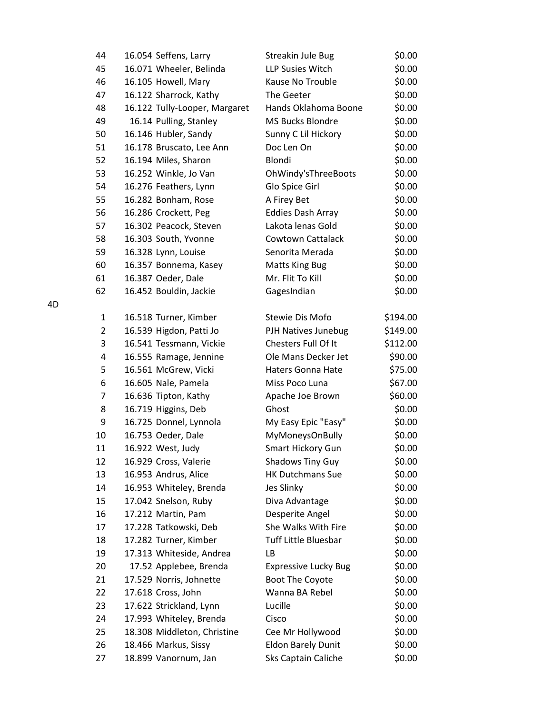| 44             | 16.054 Seffens, Larry         | Streakin Jule Bug           | \$0.00   |
|----------------|-------------------------------|-----------------------------|----------|
| 45             | 16.071 Wheeler, Belinda       | <b>LLP Susies Witch</b>     | \$0.00   |
| 46             | 16.105 Howell, Mary           | Kause No Trouble            | \$0.00   |
| 47             | 16.122 Sharrock, Kathy        | The Geeter                  | \$0.00   |
| 48             | 16.122 Tully-Looper, Margaret | Hands Oklahoma Boone        | \$0.00   |
| 49             | 16.14 Pulling, Stanley        | MS Bucks Blondre            | \$0.00   |
| 50             | 16.146 Hubler, Sandy          | Sunny C Lil Hickory         | \$0.00   |
| 51             | 16.178 Bruscato, Lee Ann      | Doc Len On                  | \$0.00   |
| 52             | 16.194 Miles, Sharon          | Blondi                      | \$0.00   |
| 53             | 16.252 Winkle, Jo Van         | OhWindy'sThreeBoots         | \$0.00   |
| 54             | 16.276 Feathers, Lynn         | Glo Spice Girl              | \$0.00   |
| 55             | 16.282 Bonham, Rose           | A Firey Bet                 | \$0.00   |
| 56             | 16.286 Crockett, Peg          | <b>Eddies Dash Array</b>    | \$0.00   |
| 57             | 16.302 Peacock, Steven        | Lakota lenas Gold           | \$0.00   |
| 58             | 16.303 South, Yvonne          | Cowtown Cattalack           | \$0.00   |
| 59             | 16.328 Lynn, Louise           | Senorita Merada             | \$0.00   |
| 60             | 16.357 Bonnema, Kasey         | <b>Matts King Bug</b>       | \$0.00   |
| 61             | 16.387 Oeder, Dale            | Mr. Flit To Kill            | \$0.00   |
| 62             | 16.452 Bouldin, Jackie        | GagesIndian                 | \$0.00   |
| 1              | 16.518 Turner, Kimber         | Stewie Dis Mofo             | \$194.00 |
| $\overline{2}$ | 16.539 Higdon, Patti Jo       | PJH Natives Junebug         | \$149.00 |
| 3              | 16.541 Tessmann, Vickie       | Chesters Full Of It         | \$112.00 |
| 4              | 16.555 Ramage, Jennine        | Ole Mans Decker Jet         | \$90.00  |
| 5              | 16.561 McGrew, Vicki          | <b>Haters Gonna Hate</b>    | \$75.00  |
| 6              | 16.605 Nale, Pamela           | Miss Poco Luna              | \$67.00  |
| 7              | 16.636 Tipton, Kathy          | Apache Joe Brown            | \$60.00  |
| 8              | 16.719 Higgins, Deb           | Ghost                       | \$0.00   |
| 9              | 16.725 Donnel, Lynnola        | My Easy Epic "Easy"         | \$0.00   |
| 10             | 16.753 Oeder, Dale            | MyMoneysOnBully             | \$0.00   |
| 11             | 16.922 West, Judy             | Smart Hickory Gun           | \$0.00   |
| 12             | 16.929 Cross, Valerie         | <b>Shadows Tiny Guy</b>     | \$0.00   |
| 13             | 16.953 Andrus, Alice          | <b>HK Dutchmans Sue</b>     | \$0.00   |
| 14             | 16.953 Whiteley, Brenda       | Jes Slinky                  | \$0.00   |
| 15             | 17.042 Snelson, Ruby          | Diva Advantage              | \$0.00   |
| 16             | 17.212 Martin, Pam            | Desperite Angel             | \$0.00   |
| 17             | 17.228 Tatkowski, Deb         | She Walks With Fire         | \$0.00   |
| 18             | 17.282 Turner, Kimber         | Tuff Little Bluesbar        | \$0.00   |
| 19             | 17.313 Whiteside, Andrea      | LB                          | \$0.00   |
| 20             | 17.52 Applebee, Brenda        | <b>Expressive Lucky Bug</b> | \$0.00   |
| 21             | 17.529 Norris, Johnette       | <b>Boot The Coyote</b>      | \$0.00   |
| 22             | 17.618 Cross, John            | Wanna BA Rebel              | \$0.00   |
| 23             | 17.622 Strickland, Lynn       | Lucille                     | \$0.00   |
| 24             | 17.993 Whiteley, Brenda       | Cisco                       | \$0.00   |
| 25             | 18.308 Middleton, Christine   | Cee Mr Hollywood            | \$0.00   |
| 26             | 18.466 Markus, Sissy          | <b>Eldon Barely Dunit</b>   | \$0.00   |
| 27             | 18.899 Vanornum, Jan          | Sks Captain Caliche         | \$0.00   |

4D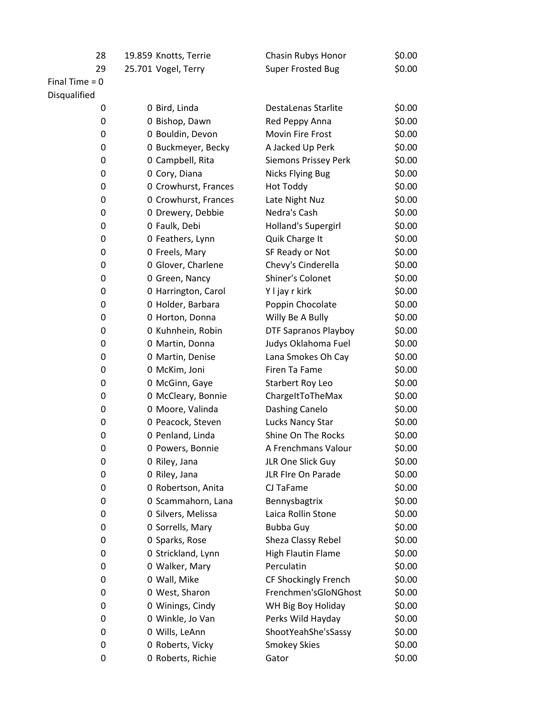| 28               | 19.859 Knotts, Terrie | Chasin Rubys Honor        | \$0.00 |
|------------------|-----------------------|---------------------------|--------|
| 29               | 25.701 Vogel, Terry   | <b>Super Frosted Bug</b>  | \$0.00 |
| Final Time $= 0$ |                       |                           |        |
| Disqualified     |                       |                           |        |
| 0                | 0 Bird, Linda         | DestaLenas Starlite       | \$0.00 |
| 0                | 0 Bishop, Dawn        | Red Peppy Anna            | \$0.00 |
| 0                | 0 Bouldin, Devon      | Movin Fire Frost          | \$0.00 |
| 0                | 0 Buckmeyer, Becky    | A Jacked Up Perk          | \$0.00 |
| 0                | 0 Campbell, Rita      | Siemons Prissey Perk      | \$0.00 |
| 0                | 0 Cory, Diana         | <b>Nicks Flying Bug</b>   | \$0.00 |
| 0                | 0 Crowhurst, Frances  | <b>Hot Toddy</b>          | \$0.00 |
| 0                | 0 Crowhurst, Frances  | Late Night Nuz            | \$0.00 |
| 0                | 0 Drewery, Debbie     | Nedra's Cash              | \$0.00 |
| 0                | 0 Faulk, Debi         | Holland's Supergirl       | \$0.00 |
| 0                | 0 Feathers, Lynn      | Quik Charge It            | \$0.00 |
| 0                | 0 Freels, Mary        | SF Ready or Not           | \$0.00 |
| 0                | 0 Glover, Charlene    | Chevy's Cinderella        | \$0.00 |
| 0                | 0 Green, Nancy        | Shiner's Colonet          | \$0.00 |
| 0                | 0 Harrington, Carol   | Y I jay r kirk            | \$0.00 |
| 0                | 0 Holder, Barbara     | Poppin Chocolate          | \$0.00 |
| 0                | 0 Horton, Donna       | Willy Be A Bully          | \$0.00 |
| 0                | 0 Kuhnhein, Robin     | DTF Sapranos Playboy      | \$0.00 |
| 0                | 0 Martin, Donna       | Judys Oklahoma Fuel       | \$0.00 |
| 0                | 0 Martin, Denise      | Lana Smokes Oh Cay        | \$0.00 |
| 0                | 0 McKim, Joni         | Firen Ta Fame             | \$0.00 |
| 0                | 0 McGinn, Gaye        | Starbert Roy Leo          | \$0.00 |
| 0                | 0 McCleary, Bonnie    | ChargeItToTheMax          | \$0.00 |
| 0                | 0 Moore, Valinda      | Dashing Canelo            | \$0.00 |
| 0                | 0 Peacock, Steven     | Lucks Nancy Star          | \$0.00 |
| 0                | 0 Penland, Linda      | Shine On The Rocks        | \$0.00 |
| 0                | 0 Powers, Bonnie      | A Frenchmans Valour       | \$0.00 |
| 0                | 0 Riley, Jana         | JLR One Slick Guy         | \$0.00 |
| 0                | 0 Riley, Jana         | JLR FIre On Parade        | \$0.00 |
| 0                | 0 Robertson, Anita    | CJ TaFame                 | \$0.00 |
| 0                | 0 Scammahorn, Lana    | Bennysbagtrix             | \$0.00 |
| 0                | 0 Silvers, Melissa    | Laica Rollin Stone        | \$0.00 |
| 0                | 0 Sorrells, Mary      | <b>Bubba Guy</b>          | \$0.00 |
| 0                | 0 Sparks, Rose        | Sheza Classy Rebel        | \$0.00 |
| 0                | 0 Strickland, Lynn    | <b>High Flautin Flame</b> | \$0.00 |
| 0                | 0 Walker, Mary        | Perculatin                | \$0.00 |
| 0                | 0 Wall, Mike          | CF Shockingly French      | \$0.00 |
| 0                | 0 West, Sharon        | Frenchmen'sGloNGhost      | \$0.00 |
| 0                | 0 Winings, Cindy      | WH Big Boy Holiday        | \$0.00 |
| 0                | 0 Winkle, Jo Van      | Perks Wild Hayday         | \$0.00 |
| 0                | 0 Wills, LeAnn        | ShootYeahShe'sSassy       | \$0.00 |
| 0                | 0 Roberts, Vicky      | <b>Smokey Skies</b>       | \$0.00 |
| 0                | 0 Roberts, Richie     | Gator                     | \$0.00 |